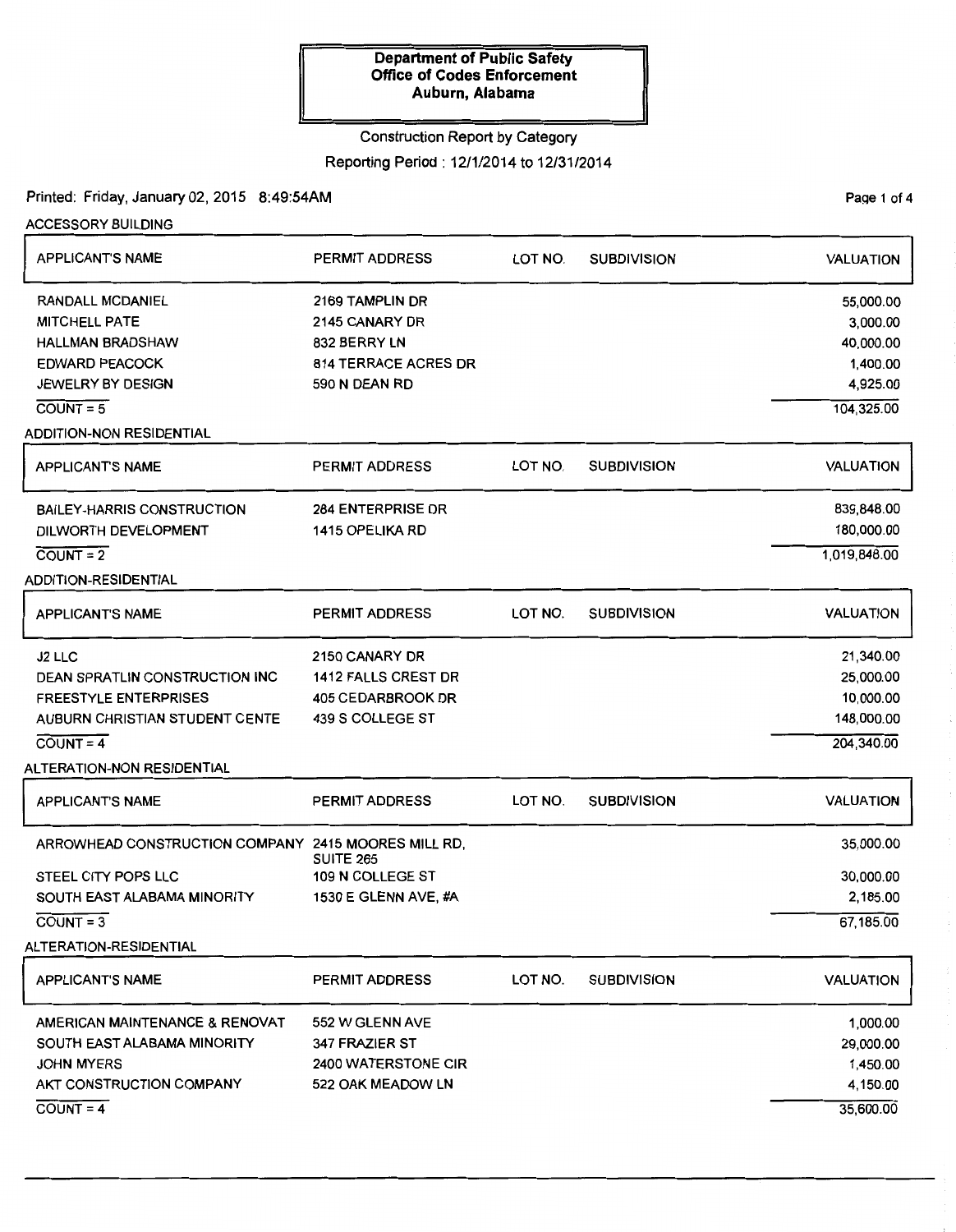#### Construction Report by Category

Reporting Period: 12/1/2014 to 12/31/2014

# Printed: Friday, January 02, 2015 8:49:54AM

PaQe 1 of 4

ACCESSORY BUILDING

| <b>APPLICANT'S NAME</b>                                                                                                                                                            | PERMIT ADDRESS                                                                                    | LOT NO. | <b>SUBDIVISION</b> | <b>VALUATION</b>                                                         |
|------------------------------------------------------------------------------------------------------------------------------------------------------------------------------------|---------------------------------------------------------------------------------------------------|---------|--------------------|--------------------------------------------------------------------------|
| <b>RANDALL MCDANIEL</b><br><b>MITCHELL PATE</b><br><b>HALLMAN BRADSHAW</b><br><b>EDWARD PEACOCK</b><br><b>JEWELRY BY DESIGN</b><br>$COUNT = 5$                                     | 2169 TAMPLIN DR<br>2145 CANARY DR<br>832 BERRY LN<br><b>814 TERRACE ACRES DR</b><br>590 N DEAN RD |         |                    | 55,000.00<br>3,000.00<br>40,000.00<br>1,400.00<br>4,925.00<br>104,325.00 |
| <b>ADDITION-NON RESIDENTIAL</b><br><b>APPLICANT'S NAME</b>                                                                                                                         | <b>PERMIT ADDRESS</b>                                                                             | LOT NO. | <b>SUBDIVISION</b> | <b>VALUATION</b>                                                         |
| <b>BAILEY-HARRIS CONSTRUCTION</b><br>DILWORTH DEVELOPMENT<br>$COUNT = 2$<br><b>ADDITION-RESIDENTIAL</b>                                                                            | <b>284 ENTERPRISE DR</b><br><b>1415 OPELIKA RD</b>                                                |         |                    | 839,848.00<br>180,000.00<br>1,019,848.00                                 |
| <b>APPLICANT'S NAME</b>                                                                                                                                                            | <b>PERMIT ADDRESS</b>                                                                             | LOT NO. | <b>SUBDIVISION</b> | <b>VALUATION</b>                                                         |
| J <sub>2</sub> LLC<br><b>DEAN SPRATLIN CONSTRUCTION INC.</b><br><b>FREESTYLE ENTERPRISES</b><br>AUBURN CHRISTIAN STUDENT CENTE<br>$COUNT = 4$<br><b>ALTERATION-NON RESIDENTIAL</b> | 2150 CANARY DR<br><b>1412 FALLS CREST DR</b><br><b>405 CEDARBROOK DR</b><br>439 S COLLEGE ST      |         |                    | 21,340.00<br>25,000.00<br>10,000.00<br>148,000.00<br>204,340.00          |
| <b>APPLICANT'S NAME</b>                                                                                                                                                            | <b>PERMIT ADDRESS</b>                                                                             | LOT NO. | <b>SUBDIVISION</b> | <b>VALUATION</b>                                                         |
| ARROWHEAD CONSTRUCTION COMPANY 2415 MOORES MILL RD,<br>STEEL CITY POPS LLC<br>SOUTH EAST ALABAMA MINORITY<br>$COUNT = 3$<br>ALTERATION-RESIDENTIAL                                 | <b>SUITE 265</b><br>109 N COLLEGE ST<br>1530 E GLENN AVE, #A                                      |         |                    | 35,000.00<br>30,000.00<br>2,185.00<br>67,185.00                          |
| <b>APPLICANT'S NAME</b>                                                                                                                                                            | PERMIT ADDRESS                                                                                    | LOT NO. | <b>SUBDIVISION</b> | <b>VALUATION</b>                                                         |
| AMERICAN MAINTENANCE & RENOVAT<br>SOUTH EAST ALABAMA MINORITY<br><b>JOHN MYERS</b><br>AKT CONSTRUCTION COMPANY<br>$COUNT = 4$                                                      | 552 W GLENN AVE<br>347 FRAZIER ST<br>2400 WATERSTONE CIR<br>522 OAK MEADOW LN                     |         |                    | 1,000.00<br>29,000.00<br>1,450.00<br>4,150.00<br>35,600.00               |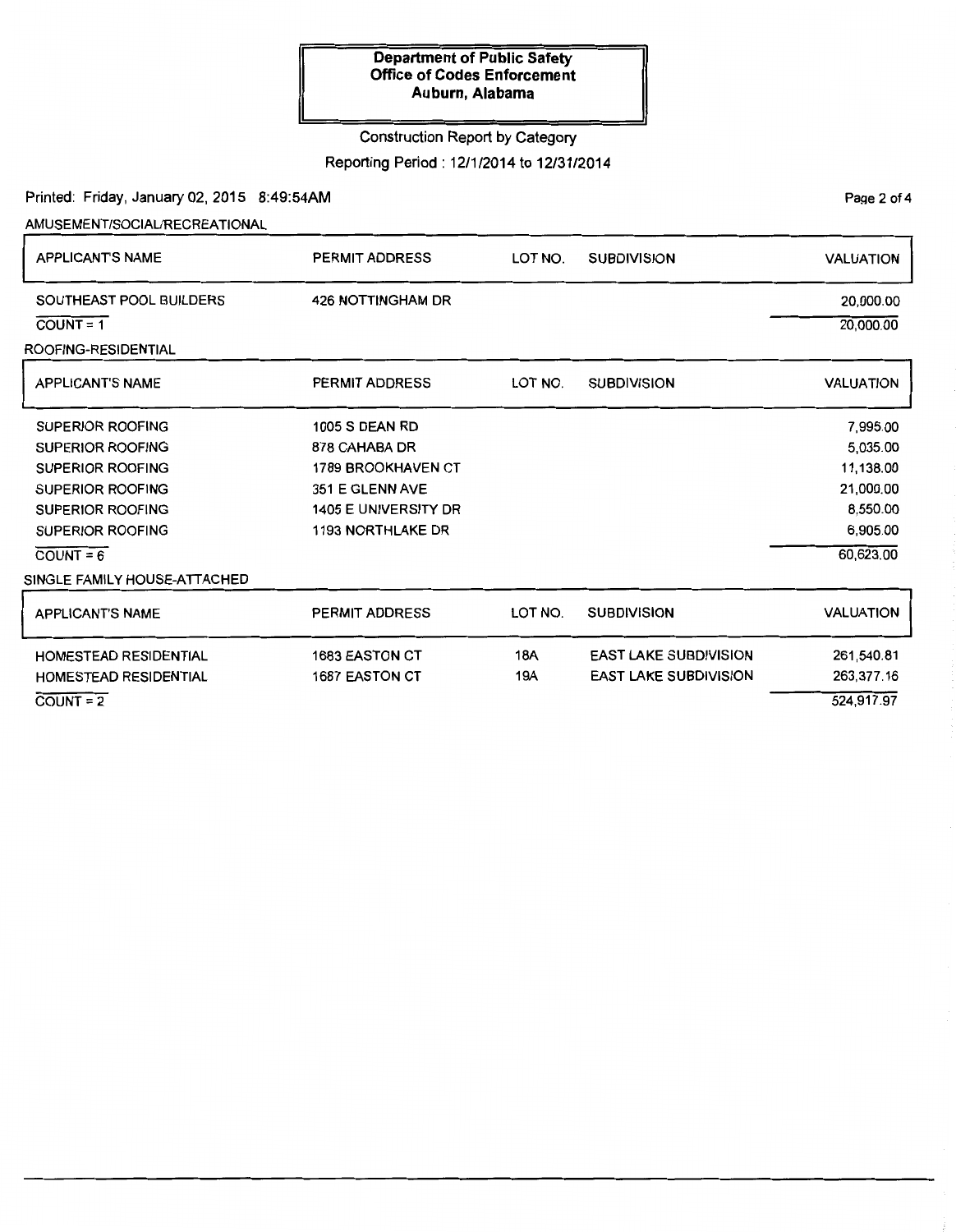# Construction Report by Category

Reporting Period: 12/1/2014 to 12/31/2014

Page 2 of 4

Printed: Friday, January 02, 2015 8:49:54AM

AMUSEMENT/SOCIAURECREATIONAL

| <b>APPLICANT'S NAME</b>                                                                                                                                                                                       | <b>PERMIT ADDRESS</b>                                                                                                                             | LOT NO.    | <b>SUBDIVISION</b>                                           | <b>VALUATION</b>                                                                    |
|---------------------------------------------------------------------------------------------------------------------------------------------------------------------------------------------------------------|---------------------------------------------------------------------------------------------------------------------------------------------------|------------|--------------------------------------------------------------|-------------------------------------------------------------------------------------|
| SOUTHEAST POOL BUILDERS<br>$COUNT = 1$<br>ROOFING-RESIDENTIAL                                                                                                                                                 | <b>426 NOTTINGHAM DR</b>                                                                                                                          |            |                                                              | 20,000.00<br>20,000.00                                                              |
| <b>APPLICANT'S NAME</b>                                                                                                                                                                                       | <b>PERMIT ADDRESS</b>                                                                                                                             | LOT NO.    | <b>SUBDIVISION</b>                                           | <b>VALUATION</b>                                                                    |
| <b>SUPERIOR ROOFING</b><br><b>SUPERIOR ROOFING</b><br><b>SUPERIOR ROOFING</b><br><b>SUPERIOR ROOFING</b><br><b>SUPERIOR ROOFING</b><br><b>SUPERIOR ROOFING</b><br>$COUNT = 6$<br>SINGLE FAMILY HOUSE-ATTACHED | <b>1005 S DEAN RD</b><br>878 CAHABA DR<br><b>1789 BROOKHAVEN CT</b><br>351 E GLENN AVE<br><b>1405 E UNIVERSITY DR</b><br><b>1193 NORTHLAKE DR</b> |            |                                                              | 7,995.00<br>5,035.00<br>11,138.00<br>21,000.00<br>8,550.00<br>6,905.00<br>60,623.00 |
| <b>APPLICANT'S NAME</b>                                                                                                                                                                                       | <b>PERMIT ADDRESS</b>                                                                                                                             | LOT NO.    | <b>SUBDIVISION</b>                                           | <b>VALUATION</b>                                                                    |
| <b>HOMESTEAD RESIDENTIAL</b><br><b>HOMESTEAD RESIDENTIAL</b><br>$COUNT = 2$                                                                                                                                   | <b>1683 EASTON CT</b><br><b>1687 EASTON CT</b>                                                                                                    | 18A<br>19A | <b>EAST LAKE SUBDIVISION</b><br><b>EAST LAKE SUBDIVISION</b> | 261,540.81<br>263,377.16<br>524,917.97                                              |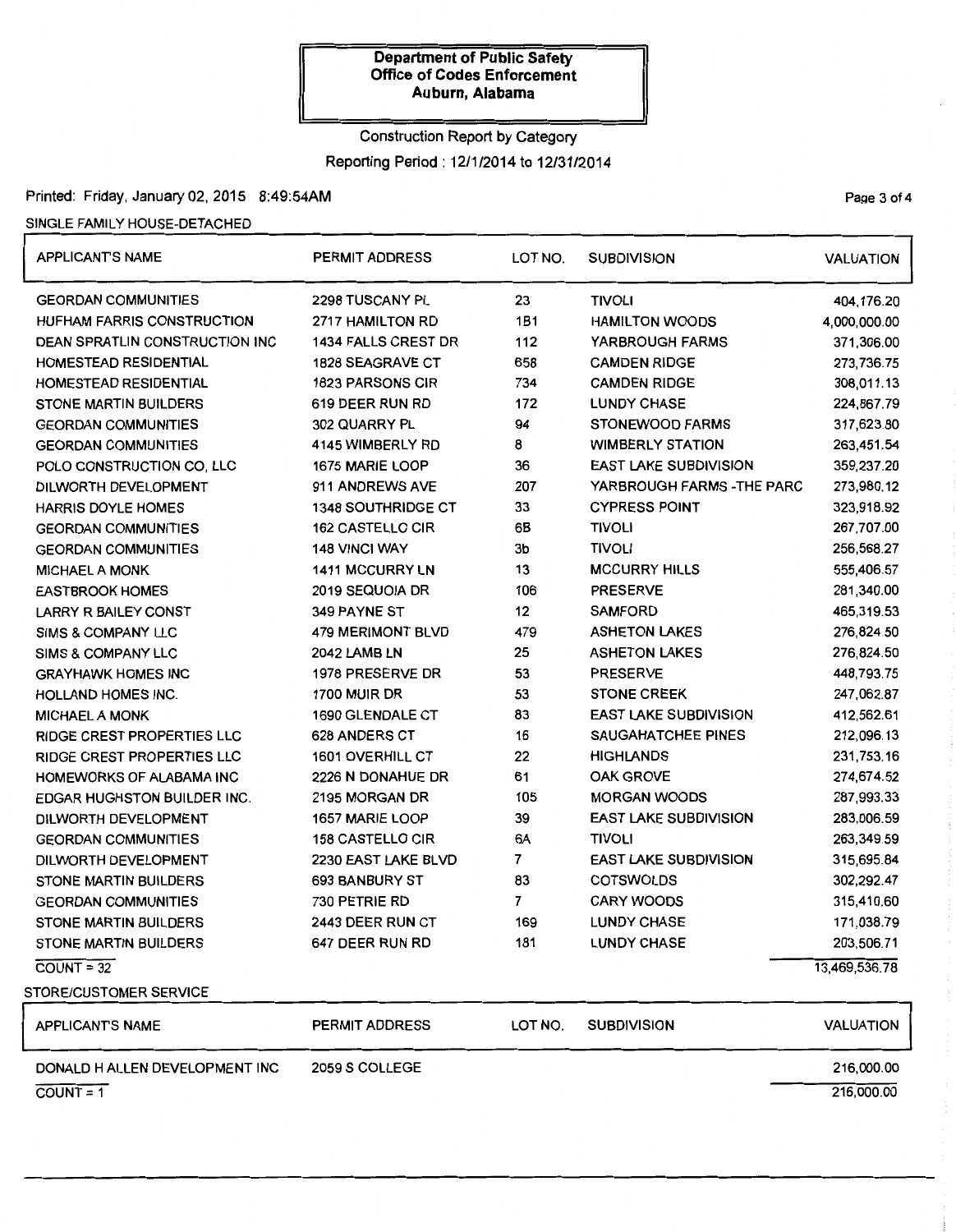# Construction Report by Category

Reporting Period: 12/1/2014 to 12/31/2014

## Printed: Friday, January 02, 2015 8:49:54AM

## SINGLE FAMILY HOUSE-DETACHED

| <b>APPLICANT'S NAME</b>               | <b>PERMIT ADDRESS</b>      | LOT NO.        | <b>SUBDIVISION</b>           | <b>VALUATION</b> |
|---------------------------------------|----------------------------|----------------|------------------------------|------------------|
| <b>GEORDAN COMMUNITIES</b>            | 2298 TUSCANY PL            | 23             | <b>TIVOLI</b>                | 404,176.20       |
| <b>HUFHAM FARRIS CONSTRUCTION</b>     | 2717 HAMILTON RD           | 1B1            | <b>HAMILTON WOODS</b>        | 4,000,000.00     |
| <b>DEAN SPRATLIN CONSTRUCTION INC</b> | <b>1434 FALLS CREST DR</b> | 112            | YARBROUGH FARMS              | 371,306.00       |
| <b>HOMESTEAD RESIDENTIAL</b>          | <b>1828 SEAGRAVE CT</b>    | 658            | <b>CAMDEN RIDGE</b>          | 273,736.75       |
| HOMESTEAD RESIDENTIAL                 | <b>1823 PARSONS CIR</b>    | 734            | <b>CAMDEN RIDGE</b>          | 308,011.13       |
| <b>STONE MARTIN BUILDERS</b>          | 619 DEER RUN RD            | 172            | <b>LUNDY CHASE</b>           | 224,867.79       |
| <b>GEORDAN COMMUNITIES</b>            | 302 QUARRY PL              | 94             | <b>STONEWOOD FARMS</b>       | 317,623.80       |
| <b>GEORDAN COMMUNITIES</b>            | 4145 WIMBERLY RD           | 8              | <b>WIMBERLY STATION</b>      | 263,451.54       |
| POLO CONSTRUCTION CO, LLC             | 1675 MARIE LOOP            | 36             | <b>EAST LAKE SUBDIVISION</b> | 359,237.20       |
| DILWORTH DEVELOPMENT                  | 911 ANDREWS AVE            | 207            | YARBROUGH FARMS - THE PARC   | 273,980.12       |
| <b>HARRIS DOYLE HOMES</b>             | <b>1348 SOUTHRIDGE CT</b>  | 33             | <b>CYPRESS POINT</b>         | 323,918.92       |
| <b>GEORDAN COMMUNITIES</b>            | <b>162 CASTELLO CIR</b>    | 6B             | <b>TIVOLI</b>                | 267,707.00       |
| <b>GEORDAN COMMUNITIES</b>            | <b>148 VINCI WAY</b>       | 3b             | <b>TIVOLI</b>                | 256,568.27       |
| <b>MICHAEL A MONK</b>                 | <b>1411 MCCURRY LN</b>     | 13             | <b>MCCURRY HILLS</b>         | 555,406.57       |
| <b>EASTBROOK HOMES</b>                | 2019 SEQUOIA DR            | 106            | <b>PRESERVE</b>              | 281,340.00       |
| <b>LARRY R BAILEY CONST</b>           | 349 PAYNE ST               | 12             | <b>SAMFORD</b>               | 465,319.53       |
| <b>SIMS &amp; COMPANY LLC</b>         | <b>479 MERIMONT BLVD</b>   | 479            | <b>ASHETON LAKES</b>         | 276,824.50       |
| <b>SIMS &amp; COMPANY LLC</b>         | 2042 LAMB LN               | 25             | <b>ASHETON LAKES</b>         | 276,824.50       |
| <b>GRAYHAWK HOMES INC</b>             | 1978 PRESERVE DR           | 53             | <b>PRESERVE</b>              | 448,793.75       |
| <b>HOLLAND HOMES INC.</b>             | <b>1700 MUIR DR</b>        | 53             | <b>STONE CREEK</b>           | 247,062.87       |
| <b>MICHAEL A MONK</b>                 | 1690 GLENDALE CT           | 83             | <b>EAST LAKE SUBDIVISION</b> | 412,562.61       |
| RIDGE CREST PROPERTIES LLC            | 628 ANDERS CT              | 16             | SAUGAHATCHEE PINES           | 212,096.13       |
| RIDGE CREST PROPERTIES LLC            | 1601 OVERHILL CT           | 22             | <b>HIGHLANDS</b>             | 231,753.16       |
| HOMEWORKS OF ALABAMA INC              | 2226 N DONAHUE DR          | 61             | <b>OAK GROVE</b>             | 274,674.52       |
| <b>EDGAR HUGHSTON BUILDER INC.</b>    | 2195 MORGAN DR             | 105            | <b>MORGAN WOODS</b>          | 287,993.33       |
| DILWORTH DEVELOPMENT                  | 1657 MARIE LOOP            | 39             | <b>EAST LAKE SUBDIVISION</b> | 283,006.59       |
| <b>GEORDAN COMMUNITIES</b>            | <b>158 CASTELLO CIR</b>    | 6A             | <b>TIVOLI</b>                | 263,349.59       |
| DILWORTH DEVELOPMENT                  | 2230 EAST LAKE BLVD        | 7              | <b>EAST LAKE SUBDIVISION</b> | 315,695.84       |
| <b>STONE MARTIN BUILDERS</b>          | 693 BANBURY ST             | 83             | <b>COTSWOLDS</b>             | 302,292.47       |
| <b>GEORDAN COMMUNITIES</b>            | 730 PETRIE RD              | $\overline{7}$ | <b>CARY WOODS</b>            | 315,410.60       |
| <b>STONE MARTIN BUILDERS</b>          | 2443 DEER RUN CT           | 169            | <b>LUNDY CHASE</b>           | 171,038.79       |
| STONE MARTIN BUILDERS                 | 647 DEER RUN RD            | 181            | <b>LUNDY CHASE</b>           | 203,506.71       |
| $COUNT = 32$                          |                            |                |                              | 13,469,536.78    |
| <b>STORE/CUSTOMER SERVICE</b>         |                            |                |                              |                  |
| <b>APPLICANT'S NAME</b>               | <b>PERMIT ADDRESS</b>      | LOT NO.        | <b>SUBDIVISION</b>           | <b>VALUATION</b> |
| DONALD H ALLEN DEVELOPMENT INC        | 2059 S COLLEGE             |                |                              | 216,000.00       |

 $COUNT = 1$ 

Page 3 of 4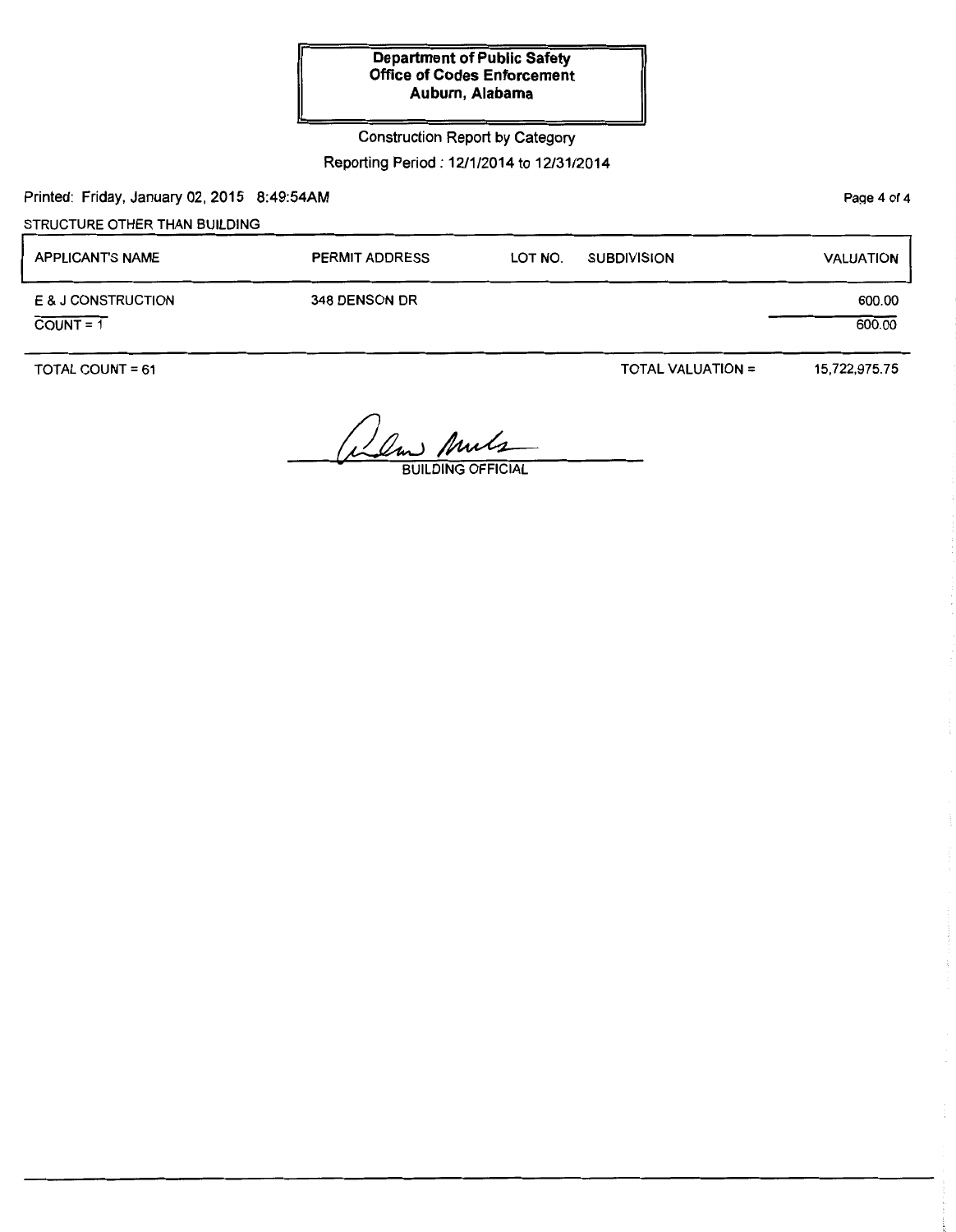Construction Report by Category

Reporting Period: 12/1/2014 to 12/31/2014

Printed: Friday, January 02, 2015 8:49:54AM

STRUCTURE OTHER THAN BUILDING

| <b>APPLICANT'S NAME</b>           | <b>PERMIT ADDRESS</b> | LOT NO. | <b>SUBDIVISION</b>       | <b>VALUATION</b> |
|-----------------------------------|-----------------------|---------|--------------------------|------------------|
| E & J CONSTRUCTION<br>$COUNT = 1$ | 348 DENSON DR         |         |                          | 600.00<br>600.00 |
| TOTAL COUNT = $61$                |                       |         | <b>TOTAL VALUATION =</b> | 15,722,975.75    |

Alm Anuls

Page 4 of 4